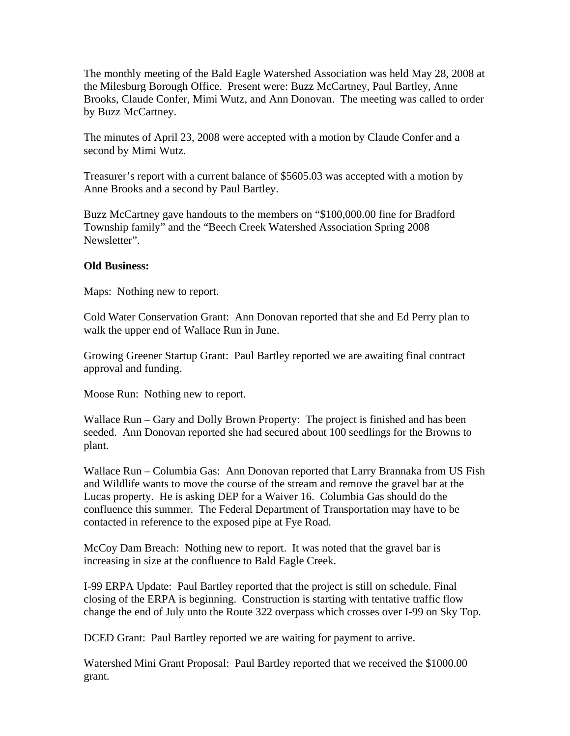The monthly meeting of the Bald Eagle Watershed Association was held May 28, 2008 at the Milesburg Borough Office. Present were: Buzz McCartney, Paul Bartley, Anne Brooks, Claude Confer, Mimi Wutz, and Ann Donovan. The meeting was called to order by Buzz McCartney.

The minutes of April 23, 2008 were accepted with a motion by Claude Confer and a second by Mimi Wutz.

Treasurer's report with a current balance of \$5605.03 was accepted with a motion by Anne Brooks and a second by Paul Bartley.

Buzz McCartney gave handouts to the members on "\$100,000.00 fine for Bradford Township family" and the "Beech Creek Watershed Association Spring 2008 Newsletter".

## **Old Business:**

Maps: Nothing new to report.

Cold Water Conservation Grant: Ann Donovan reported that she and Ed Perry plan to walk the upper end of Wallace Run in June.

Growing Greener Startup Grant: Paul Bartley reported we are awaiting final contract approval and funding.

Moose Run: Nothing new to report.

Wallace Run – Gary and Dolly Brown Property: The project is finished and has been seeded. Ann Donovan reported she had secured about 100 seedlings for the Browns to plant.

Wallace Run – Columbia Gas: Ann Donovan reported that Larry Brannaka from US Fish and Wildlife wants to move the course of the stream and remove the gravel bar at the Lucas property. He is asking DEP for a Waiver 16. Columbia Gas should do the confluence this summer. The Federal Department of Transportation may have to be contacted in reference to the exposed pipe at Fye Road.

McCoy Dam Breach: Nothing new to report. It was noted that the gravel bar is increasing in size at the confluence to Bald Eagle Creek.

I-99 ERPA Update: Paul Bartley reported that the project is still on schedule. Final closing of the ERPA is beginning. Construction is starting with tentative traffic flow change the end of July unto the Route 322 overpass which crosses over I-99 on Sky Top.

DCED Grant: Paul Bartley reported we are waiting for payment to arrive.

Watershed Mini Grant Proposal: Paul Bartley reported that we received the \$1000.00 grant.